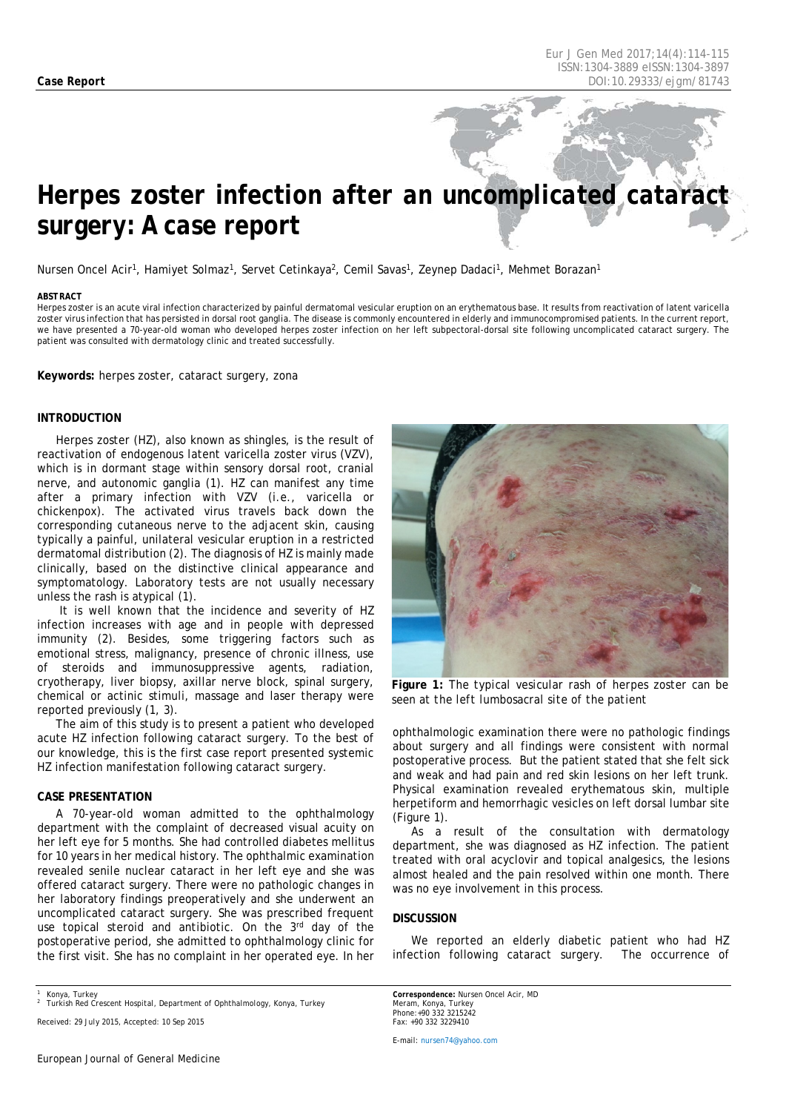# *Herpes zoster infection after an uncomplicated cataract surgery: A case report*

Nursen Oncel Acir<sup>1</sup>, Hamiyet Solmaz<sup>1</sup>, Servet Cetinkaya<sup>2</sup>, Cemil Savas<sup>1</sup>, Zeynep Dadaci<sup>1</sup>, Mehmet Borazan<sup>1</sup>

#### <span id="page-0-0"></span>*ABSTRACT*

Herpes zoster is an acute viral infection characterized by painful dermatomal vesicular eruption on an erythematous base. It results from reactivation of latent varicella zoster virus infection that has persisted in dorsal root ganglia. The disease is commonly encountered in elderly and immunocompromised patients. In the current report, we have presented a 70-year-old woman who developed herpes zoster infection on her left subpectoral-dorsal site following uncomplicated cataract surgery. The patient was consulted with dermatology clinic and treated successfully.

**Keywords:** herpes zoster, cataract surgery, zona

#### **INTRODUCTION**

Herpes zoster (HZ), also known as shingles, is the result of reactivation of endogenous latent varicella zoster virus (VZV), which is in dormant stage within sensory dorsal root, cranial nerve, and autonomic ganglia (1). HZ can manifest any time after a primary infection with VZV (i.e., varicella or chickenpox). The activated virus travels back down the corresponding cutaneous nerve to the adjacent skin, causing typically a painful, unilateral vesicular eruption in a restricted dermatomal distribution (2). The diagnosis of HZ is mainly made clinically, based on the distinctive clinical appearance and symptomatology. Laboratory tests are not usually necessary unless the rash is atypical (1).

It is well known that the incidence and severity of HZ infection increases with age and in people with depressed immunity (2). Besides, some triggering factors such as emotional stress, malignancy, presence of chronic illness, use of steroids and immunosuppressive agents, radiation, cryotherapy, liver biopsy, axillar nerve block, spinal surgery, chemical or actinic stimuli, massage and laser therapy were reported previously (1, 3).

The aim of this study is to present a patient who developed acute HZ infection following cataract surgery. To the best of our knowledge, this is the first case report presented systemic HZ infection manifestation following cataract surgery.

### **CASE PRESENTATION**

A 70-year-old woman admitted to the ophthalmology department with the complaint of decreased visual acuity on her left eye for 5 months. She had controlled diabetes mellitus for 10 years in her medical history. The ophthalmic examination revealed senile nuclear cataract in her left eye and she was offered cataract surgery. There were no pathologic changes in her laboratory findings preoperatively and she underwent an uncomplicated cataract surgery. She was prescribed frequent use topical steroid and antibiotic. On the 3rd day of the postoperative period, she admitted to ophthalmology clinic for the first visit. She has no complaint in her operated eye. In her

*Received: 29 July 2015, Accepted: 10 Sep 2015*



**Figure 1:** *The typical vesicular rash of herpes zoster can be seen at the left lumbosacral site of the patient*

ophthalmologic examination there were no pathologic findings about surgery and all findings were consistent with normal postoperative process. But the patient stated that she felt sick and weak and had pain and red skin lesions on her left trunk. Physical examination revealed erythematous skin, multiple herpetiform and hemorrhagic vesicles on left dorsal lumbar site (Figure 1).

As a result of the consultation with dermatology department, she was diagnosed as HZ infection. The patient treated with oral acyclovir and topical analgesics, the lesions almost healed and the pain resolved within one month. There was no eye involvement in this process.

#### **DISCUSSION**

We reported an elderly diabetic patient who had HZ infection following cataract surgery. The occurrence of

*Correspondence: Nursen Oncel Acir, MD Meram, Konya, Turkey [Phone:+90](tel:+90) 332 3215242 Fax: +90 332 3229410*

*E-mail[: nursen74@yahoo.com](mailto:nursen74@yahoo.com)*

*<sup>1</sup> Konya, Turkey <sup>2</sup> Turkish Red Crescent Hospital, Department of Ophthalmology, Konya, Turkey*